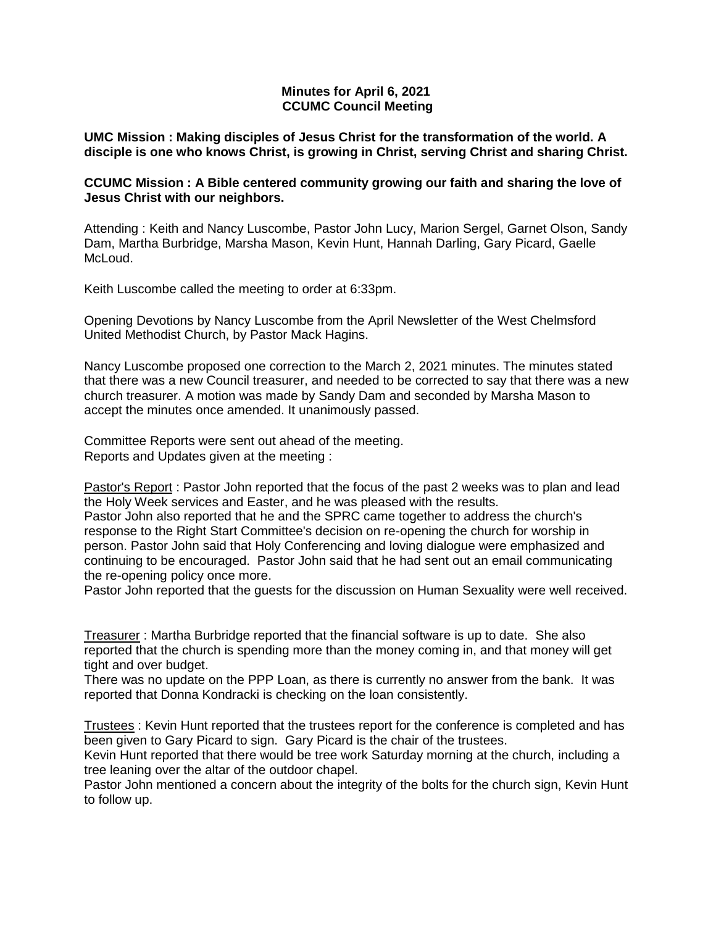# **Minutes for April 6, 2021 CCUMC Council Meeting**

**UMC Mission : Making disciples of Jesus Christ for the transformation of the world. A disciple is one who knows Christ, is growing in Christ, serving Christ and sharing Christ.**

# **CCUMC Mission : A Bible centered community growing our faith and sharing the love of Jesus Christ with our neighbors.**

Attending : Keith and Nancy Luscombe, Pastor John Lucy, Marion Sergel, Garnet Olson, Sandy Dam, Martha Burbridge, Marsha Mason, Kevin Hunt, Hannah Darling, Gary Picard, Gaelle McLoud.

Keith Luscombe called the meeting to order at 6:33pm.

Opening Devotions by Nancy Luscombe from the April Newsletter of the West Chelmsford United Methodist Church, by Pastor Mack Hagins.

Nancy Luscombe proposed one correction to the March 2, 2021 minutes. The minutes stated that there was a new Council treasurer, and needed to be corrected to say that there was a new church treasurer. A motion was made by Sandy Dam and seconded by Marsha Mason to accept the minutes once amended. It unanimously passed.

Committee Reports were sent out ahead of the meeting. Reports and Updates given at the meeting :

Pastor's Report : Pastor John reported that the focus of the past 2 weeks was to plan and lead the Holy Week services and Easter, and he was pleased with the results.

Pastor John also reported that he and the SPRC came together to address the church's response to the Right Start Committee's decision on re-opening the church for worship in person. Pastor John said that Holy Conferencing and loving dialogue were emphasized and continuing to be encouraged. Pastor John said that he had sent out an email communicating the re-opening policy once more.

Pastor John reported that the guests for the discussion on Human Sexuality were well received.

Treasurer : Martha Burbridge reported that the financial software is up to date. She also reported that the church is spending more than the money coming in, and that money will get tight and over budget.

There was no update on the PPP Loan, as there is currently no answer from the bank. It was reported that Donna Kondracki is checking on the loan consistently.

Trustees : Kevin Hunt reported that the trustees report for the conference is completed and has been given to Gary Picard to sign. Gary Picard is the chair of the trustees.

Kevin Hunt reported that there would be tree work Saturday morning at the church, including a tree leaning over the altar of the outdoor chapel.

Pastor John mentioned a concern about the integrity of the bolts for the church sign, Kevin Hunt to follow up.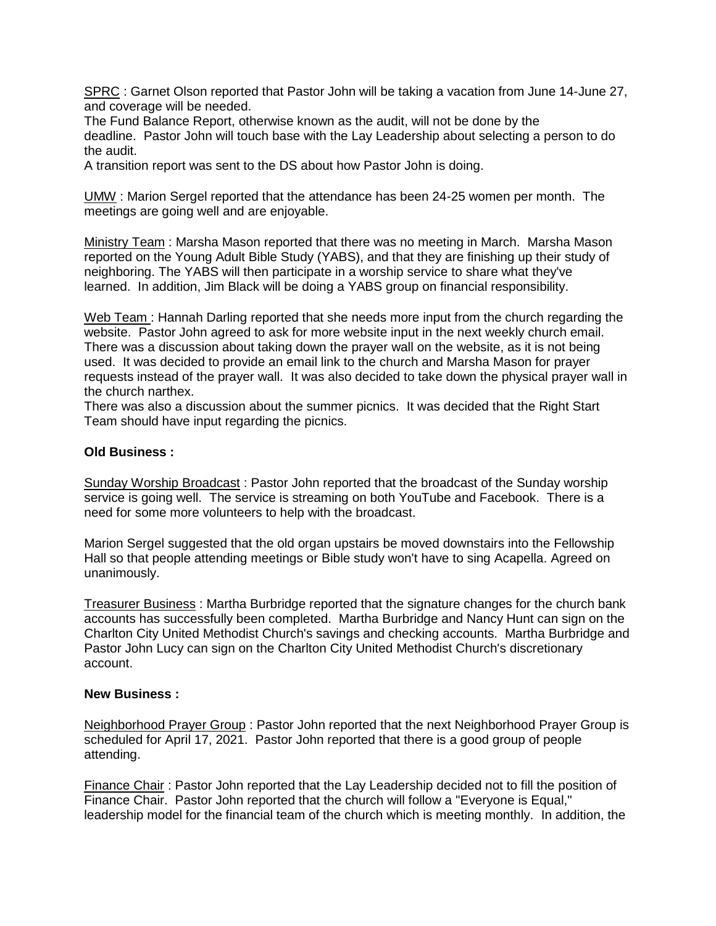SPRC : Garnet Olson reported that Pastor John will be taking a vacation from June 14-June 27, and coverage will be needed.

The Fund Balance Report, otherwise known as the audit, will not be done by the deadline. Pastor John will touch base with the Lay Leadership about selecting a person to do the audit.

A transition report was sent to the DS about how Pastor John is doing.

UMW : Marion Sergel reported that the attendance has been 24-25 women per month. The meetings are going well and are enjoyable.

Ministry Team : Marsha Mason reported that there was no meeting in March. Marsha Mason reported on the Young Adult Bible Study (YABS), and that they are finishing up their study of neighboring. The YABS will then participate in a worship service to share what they've learned. In addition, Jim Black will be doing a YABS group on financial responsibility.

Web Team : Hannah Darling reported that she needs more input from the church regarding the website. Pastor John agreed to ask for more website input in the next weekly church email. There was a discussion about taking down the prayer wall on the website, as it is not being used. It was decided to provide an email link to the church and Marsha Mason for prayer requests instead of the prayer wall. It was also decided to take down the physical prayer wall in the church narthex.

There was also a discussion about the summer picnics. It was decided that the Right Start Team should have input regarding the picnics.

# **Old Business :**

Sunday Worship Broadcast : Pastor John reported that the broadcast of the Sunday worship service is going well. The service is streaming on both YouTube and Facebook. There is a need for some more volunteers to help with the broadcast.

Marion Sergel suggested that the old organ upstairs be moved downstairs into the Fellowship Hall so that people attending meetings or Bible study won't have to sing Acapella. Agreed on unanimously.

Treasurer Business : Martha Burbridge reported that the signature changes for the church bank accounts has successfully been completed. Martha Burbridge and Nancy Hunt can sign on the Charlton City United Methodist Church's savings and checking accounts. Martha Burbridge and Pastor John Lucy can sign on the Charlton City United Methodist Church's discretionary account.

### **New Business :**

Neighborhood Prayer Group : Pastor John reported that the next Neighborhood Prayer Group is scheduled for April 17, 2021. Pastor John reported that there is a good group of people attending.

Finance Chair : Pastor John reported that the Lay Leadership decided not to fill the position of Finance Chair. Pastor John reported that the church will follow a "Everyone is Equal," leadership model for the financial team of the church which is meeting monthly. In addition, the